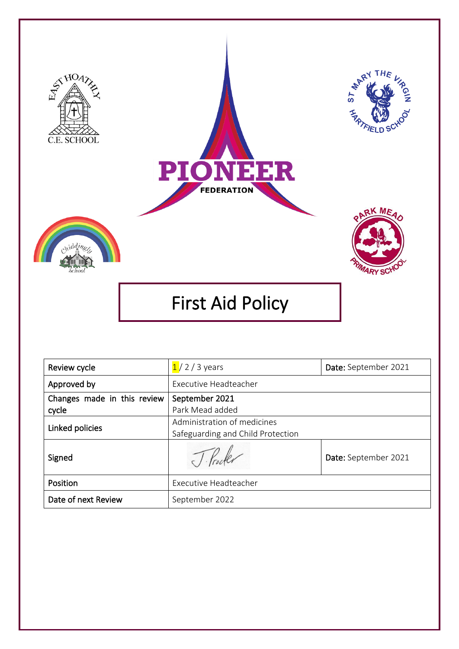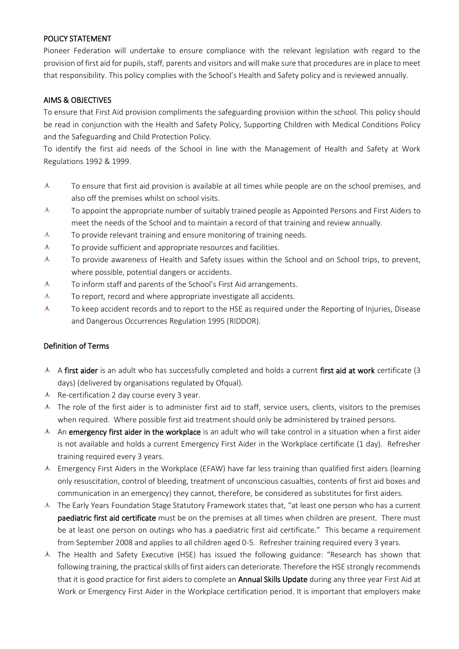### POLICY STATEMENT

Pioneer Federation will undertake to ensure compliance with the relevant legislation with regard to the provision of first aid for pupils, staff, parents and visitors and will make sure that procedures are in place to meet that responsibility. This policy complies with the School's Health and Safety policy and is reviewed annually.

### AIMS & OBJECTIVES

To ensure that First Aid provision compliments the safeguarding provision within the school. This policy should be read in conjunction with the Health and Safety Policy, Supporting Children with Medical Conditions Policy and the Safeguarding and Child Protection Policy.

To identify the first aid needs of the School in line with the Management of Health and Safety at Work Regulations 1992 & 1999.

- 麦 To ensure that first aid provision is available at all times while people are on the school premises, and also off the premises whilst on school visits.
- 表 To appoint the appropriate number of suitably trained people as Appointed Persons and First Aiders to meet the needs of the School and to maintain a record of that training and review annually.
- 麦 To provide relevant training and ensure monitoring of training needs.
- 麦 To provide sufficient and appropriate resources and facilities.
- 麦 To provide awareness of Health and Safety issues within the School and on School trips, to prevent, where possible, potential dangers or accidents.
- 麦 To inform staff and parents of the School's First Aid arrangements.
- 麦 To report, record and where appropriate investigate all accidents.
- 麦 To keep accident records and to report to the HSE as required under the Reporting of Injuries, Disease and Dangerous Occurrences Regulation 1995 (RIDDOR).

### Definition of Terms

- A first aider is an adult who has successfully completed and holds a current first aid at work certificate (3 days) (delivered by organisations regulated by Ofqual).
- $\triangle$  Re-certification 2 day course every 3 year.
- $\stackrel{\ast}{\sim}$  The role of the first aider is to administer first aid to staff, service users, clients, visitors to the premises when required. Where possible first aid treatment should only be administered by trained persons.
- An emergency first aider in the workplace is an adult who will take control in a situation when a first aider is not available and holds a current Emergency First Aider in the Workplace certificate (1 day). Refresher training required every 3 years.
- Emergency First Aiders in the Workplace (EFAW) have far less training than qualified first aiders (learning only resuscitation, control of bleeding, treatment of unconscious casualties, contents of first aid boxes and communication in an emergency) they cannot, therefore, be considered as substitutes for first aiders.
- The Early Years Foundation Stage Statutory Framework states that, "at least one person who has a current paediatric first aid certificate must be on the premises at all times when children are present. There must be at least one person on outings who has a paediatric first aid certificate." This became a requirement from September 2008 and applies to all children aged 0-5. Refresher training required every 3 years.
- The Health and Safety Executive (HSE) has issued the following guidance: "Research has shown that following training, the practical skills of first aiders can deteriorate. Therefore the HSE strongly recommends that it is good practice for first aiders to complete an **Annual Skills Update** during any three year First Aid at Work or Emergency First Aider in the Workplace certification period. It is important that employers make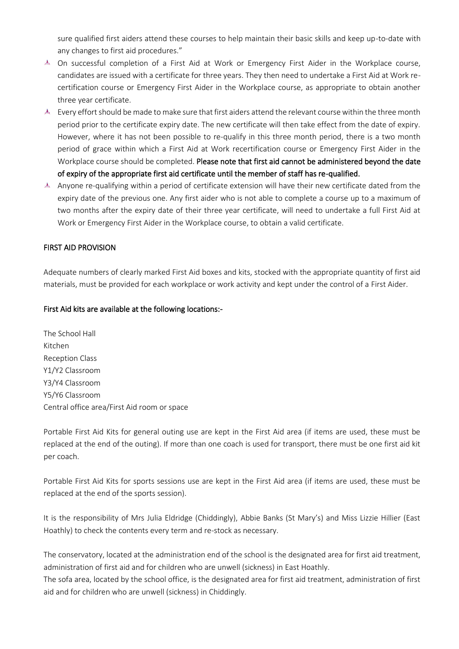sure qualified first aiders attend these courses to help maintain their basic skills and keep up-to-date with any changes to first aid procedures."

- On successful completion of a First Aid at Work or Emergency First Aider in the Workplace course, candidates are issued with a certificate for three years. They then need to undertake a First Aid at Work recertification course or Emergency First Aider in the Workplace course, as appropriate to obtain another three year certificate.
- Every effort should be made to make sure that first aiders attend the relevant course within the three month period prior to the certificate expiry date. The new certificate will then take effect from the date of expiry. However, where it has not been possible to re-qualify in this three month period, there is a two month period of grace within which a First Aid at Work recertification course or Emergency First Aider in the Workplace course should be completed. Please note that first aid cannot be administered beyond the date of expiry of the appropriate first aid certificate until the member of staff has re-qualified.
- Anyone re-qualifying within a period of certificate extension will have their new certificate dated from the expiry date of the previous one. Any first aider who is not able to complete a course up to a maximum of two months after the expiry date of their three year certificate, will need to undertake a full First Aid at Work or Emergency First Aider in the Workplace course, to obtain a valid certificate.

### FIRST AID PROVISION

Adequate numbers of clearly marked First Aid boxes and kits, stocked with the appropriate quantity of first aid materials, must be provided for each workplace or work activity and kept under the control of a First Aider.

#### First Aid kits are available at the following locations:-

The School Hall Kitchen Reception Class Y1/Y2 Classroom Y3/Y4 Classroom Y5/Y6 Classroom Central office area/First Aid room or space

Portable First Aid Kits for general outing use are kept in the First Aid area (if items are used, these must be replaced at the end of the outing). If more than one coach is used for transport, there must be one first aid kit per coach.

Portable First Aid Kits for sports sessions use are kept in the First Aid area (if items are used, these must be replaced at the end of the sports session).

It is the responsibility of Mrs Julia Eldridge (Chiddingly), Abbie Banks (St Mary's) and Miss Lizzie Hillier (East Hoathly) to check the contents every term and re-stock as necessary.

The conservatory, located at the administration end of the school is the designated area for first aid treatment, administration of first aid and for children who are unwell (sickness) in East Hoathly.

The sofa area, located by the school office, is the designated area for first aid treatment, administration of first aid and for children who are unwell (sickness) in Chiddingly.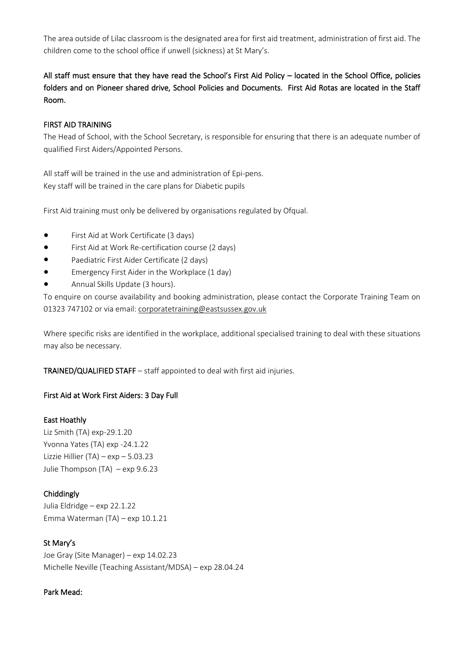The area outside of Lilac classroom is the designated area for first aid treatment, administration of first aid. The children come to the school office if unwell (sickness) at St Mary's.

# All staff must ensure that they have read the School's First Aid Policy – located in the School Office, policies folders and on Pioneer shared drive, School Policies and Documents. First Aid Rotas are located in the Staff Room.

#### FIRST AID TRAINING

The Head of School, with the School Secretary, is responsible for ensuring that there is an adequate number of qualified First Aiders/Appointed Persons.

All staff will be trained in the use and administration of Epi-pens. Key staff will be trained in the care plans for Diabetic pupils

First Aid training must only be delivered by organisations regulated by Ofqual.

- First Aid at Work Certificate (3 days)
- First Aid at Work Re-certification course (2 days)
- Paediatric First Aider Certificate (2 days)
- Emergency First Aider in the Workplace (1 day)
- Annual Skills Update (3 hours).

To enquire on course availability and booking administration, please contact the Corporate Training Team on 01323 747102 or via email: [corporatetraining@eastsussex.gov.uk](mailto:corporatetraining@eastsussex.gov.uk)

Where specific risks are identified in the workplace, additional specialised training to deal with these situations may also be necessary.

TRAINED/QUALIFIED STAFF – staff appointed to deal with first aid injuries.

#### First Aid at Work First Aiders: 3 Day Full

#### East Hoathly

Liz Smith (TA) exp-29.1.20 Yvonna Yates (TA) exp -24.1.22 Lizzie Hillier (TA) – exp – 5.03.23 Julie Thompson (TA) – exp 9.6.23

### Chiddingly

Julia Eldridge – exp 22.1.22 Emma Waterman (TA) – exp 10.1.21

### St Mary's

Joe Gray (Site Manager) – exp 14.02.23 Michelle Neville (Teaching Assistant/MDSA) – exp 28.04.24

#### Park Mead: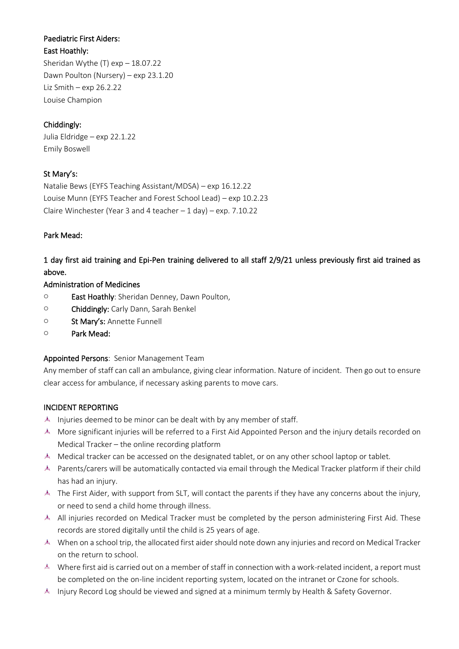## Paediatric First Aiders:

#### East Hoathly:

Sheridan Wythe (T) exp – 18.07.22 Dawn Poulton (Nursery) – exp 23.1.20 Liz Smith – exp 26.2.22 Louise Champion

## Chiddingly:

Julia Eldridge – exp 22.1.22 Emily Boswell

### St Mary's:

Natalie Bews (EYFS Teaching Assistant/MDSA) – exp 16.12.22 Louise Munn (EYFS Teacher and Forest School Lead) – exp 10.2.23 Claire Winchester (Year 3 and 4 teacher  $-1$  day) – exp. 7.10.22

### Park Mead:

1 day first aid training and Epi-Pen training delivered to all staff 2/9/21 unless previously first aid trained as above.

### Administration of Medicines

- o East Hoathly: Sheridan Denney, Dawn Poulton,
- o Chiddingly: Carly Dann, Sarah Benkel
- o St Mary's: Annette Funnell
- o Park Mead:

## Appointed Persons: Senior Management Team

Any member of staff can call an ambulance, giving clear information. Nature of incident. Then go out to ensure clear access for ambulance, if necessary asking parents to move cars.

### INCIDENT REPORTING

- $\stackrel{4}{\le}$  Injuries deemed to be minor can be dealt with by any member of staff.
- More significant injuries will be referred to a First Aid Appointed Person and the injury details recorded on Medical Tracker – the online recording platform
- Medical tracker can be accessed on the designated tablet, or on any other school laptop or tablet.
- Parents/carers will be automatically contacted via email through the Medical Tracker platform if their child has had an injury.
- **EXECTS** The First Aider, with support from SLT, will contact the parents if they have any concerns about the injury, or need to send a child home through illness.
- All injuries recorded on Medical Tracker must be completed by the person administering First Aid. These records are stored digitally until the child is 25 years of age.
- When on a school trip, the allocated first aider should note down any injuries and record on Medical Tracker on the return to school.
- Where first aid is carried out on a member of staff in connection with a work-related incident, a report must be completed on the on-line incident reporting system, located on the intranet or Czone for schools.
- Injury Record Log should be viewed and signed at a minimum termly by Health & Safety Governor.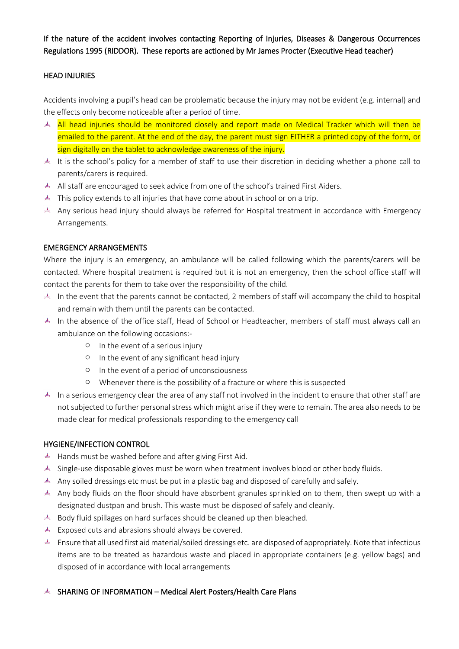If the nature of the accident involves contacting Reporting of Injuries, Diseases & Dangerous Occurrences Regulations 1995 (RIDDOR). These reports are actioned by Mr James Procter (Executive Head teacher)

### HEAD INJURIES

Accidents involving a pupil's head can be problematic because the injury may not be evident (e.g. internal) and the effects only become noticeable after a period of time.

- All head injuries should be monitored closely and report made on Medical Tracker which will then be emailed to the parent. At the end of the day, the parent must sign EITHER a printed copy of the form, or sign digitally on the tablet to acknowledge awareness of the injury.
- It is the school's policy for a member of staff to use their discretion in deciding whether a phone call to parents/carers is required.
- All staff are encouraged to seek advice from one of the school's trained First Aiders.
- $\stackrel{A}{\sim}$  This policy extends to all injuries that have come about in school or on a trip.
- A Any serious head injury should always be referred for Hospital treatment in accordance with Emergency Arrangements.

### EMERGENCY ARRANGEMENTS

Where the injury is an emergency, an ambulance will be called following which the parents/carers will be contacted. Where hospital treatment is required but it is not an emergency, then the school office staff will contact the parents for them to take over the responsibility of the child.

- In the event that the parents cannot be contacted, 2 members of staff will accompany the child to hospital and remain with them until the parents can be contacted.
- A In the absence of the office staff, Head of School or Headteacher, members of staff must always call an ambulance on the following occasions:
	- o In the event of a serious injury
	- o In the event of any significant head injury
	- o In the event of a period of unconsciousness
	- o Whenever there is the possibility of a fracture or where this is suspected
- In a serious emergency clear the area of any staff not involved in the incident to ensure that other staff are not subjected to further personal stress which might arise if they were to remain. The area also needs to be made clear for medical professionals responding to the emergency call

## HYGIENE/INFECTION CONTROL

- Hands must be washed before and after giving First Aid.
- Single-use disposable gloves must be worn when treatment involves blood or other body fluids.
- Any soiled dressings etc must be put in a plastic bag and disposed of carefully and safely.
- Any body fluids on the floor should have absorbent granules sprinkled on to them, then swept up with a designated dustpan and brush. This waste must be disposed of safely and cleanly.
- Body fluid spillages on hard surfaces should be cleaned up then bleached.
- $\stackrel{4}{\leq}$  Exposed cuts and abrasions should always be covered.
- Ensure that all used first aid material/soiled dressings etc. are disposed of appropriately. Note that infectious items are to be treated as hazardous waste and placed in appropriate containers (e.g. yellow bags) and disposed of in accordance with local arrangements

## SHARING OF INFORMATION – Medical Alert Posters/Health Care Plans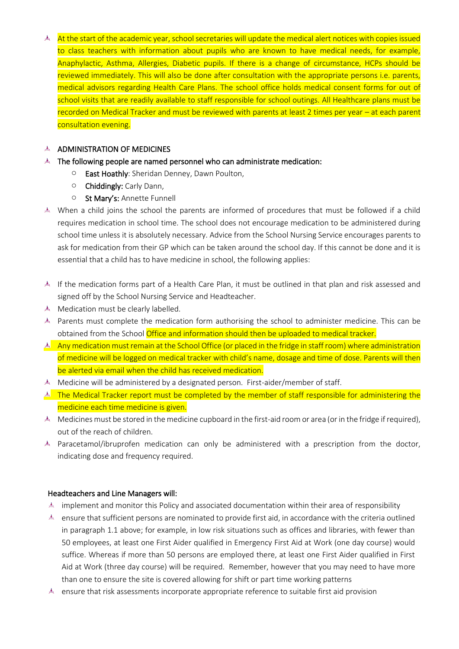At the start of the academic year, school secretaries will update the medical alert notices with copies issued to class teachers with information about pupils who are known to have medical needs, for example, Anaphylactic, Asthma, Allergies, Diabetic pupils. If there is a change of circumstance, HCPs should be reviewed immediately. This will also be done after consultation with the appropriate persons i.e. parents, medical advisors regarding Health Care Plans. The school office holds medical consent forms for out of school visits that are readily available to staff responsible for school outings. All Healthcare plans must be recorded on Medical Tracker and must be reviewed with parents at least 2 times per year – at each parent consultation evening.

### $A$  ADMINISTRATION OF MEDICINES

- $\stackrel{A}{\sim}$  The following people are named personnel who can administrate medication:
	- o East Hoathly: Sheridan Denney, Dawn Poulton,
	- o Chiddingly: Carly Dann,
	- o St Mary's: Annette Funnell
- When a child joins the school the parents are informed of procedures that must be followed if a child requires medication in school time. The school does not encourage medication to be administered during school time unless it is absolutely necessary. Advice from the School Nursing Service encourages parents to ask for medication from their GP which can be taken around the school day. If this cannot be done and it is essential that a child has to have medicine in school, the following applies:
- If the medication forms part of a Health Care Plan, it must be outlined in that plan and risk assessed and signed off by the School Nursing Service and Headteacher.
- Medication must be clearly labelled.
- Parents must complete the medication form authorising the school to administer medicine. This can be obtained from the School **Office and information should then be uploaded to medical tracker.**
- A Any medication must remain at the School Office (or placed in the fridge in staff room) where administration of medicine will be logged on medical tracker with child's name, dosage and time of dose. Parents will then be alerted via email when the child has received medication.
- $\stackrel{\text{d}}{\leftarrow}$  Medicine will be administered by a designated person. First-aider/member of staff.
- **A** The Medical Tracker report must be completed by the member of staff responsible for administering the medicine each time medicine is given.
- Medicines must be stored in the medicine cupboard in the first-aid room or area (or in the fridge if required), out of the reach of children.
- $\stackrel{\text{d}}{\leftarrow}$  Paracetamol/ibruprofen medication can only be administered with a prescription from the doctor, indicating dose and frequency required.

### Headteachers and Line Managers will:

- implement and monitor this Policy and associated documentation within their area of responsibility
- ensure that sufficient persons are nominated to provide first aid, in accordance with the criteria outlined in paragraph 1.1 above; for example, in low risk situations such as offices and libraries, with fewer than 50 employees, at least one First Aider qualified in Emergency First Aid at Work (one day course) would suffice. Whereas if more than 50 persons are employed there, at least one First Aider qualified in First Aid at Work (three day course) will be required. Remember, however that you may need to have more than one to ensure the site is covered allowing for shift or part time working patterns
- **EXECUTE 19 ASSESS** ensure that risk assessments incorporate appropriate reference to suitable first aid provision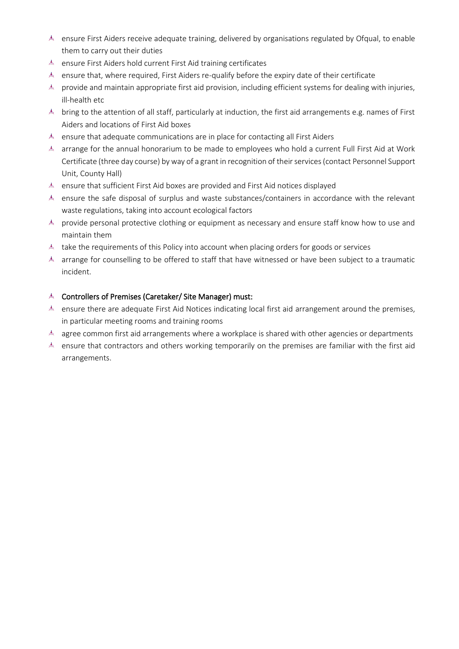- ensure First Aiders receive adequate training, delivered by organisations regulated by Ofqual, to enable them to carry out their duties
- ensure First Aiders hold current First Aid training certificates
- ensure that, where required, First Aiders re-qualify before the expiry date of their certificate
- ▲ provide and maintain appropriate first aid provision, including efficient systems for dealing with injuries, ill-health etc
- $\stackrel{\text{d}}{\leftarrow}$  bring to the attention of all staff, particularly at induction, the first aid arrangements e.g. names of First Aiders and locations of First Aid boxes
- ensure that adequate communications are in place for contacting all First Aiders
- A arrange for the annual honorarium to be made to employees who hold a current Full First Aid at Work Certificate (three day course) by way of a grant in recognition of their services (contact Personnel Support Unit, County Hall)
- **EXECUTE:** ensure that sufficient First Aid boxes are provided and First Aid notices displayed
- ensure the safe disposal of surplus and waste substances/containers in accordance with the relevant waste regulations, taking into account ecological factors
- ▲ provide personal protective clothing or equipment as necessary and ensure staff know how to use and maintain them
- $\stackrel{\text{d}}{\leftarrow}$  take the requirements of this Policy into account when placing orders for goods or services
- $\stackrel{\text{d}}{\le}$  arrange for counselling to be offered to staff that have witnessed or have been subject to a traumatic incident.

# Controllers of Premises (Caretaker/ Site Manager) must:

- ensure there are adequate First Aid Notices indicating local first aid arrangement around the premises, in particular meeting rooms and training rooms
- $\stackrel{4}{\le}$  agree common first aid arrangements where a workplace is shared with other agencies or departments
- A ensure that contractors and others working temporarily on the premises are familiar with the first aid arrangements.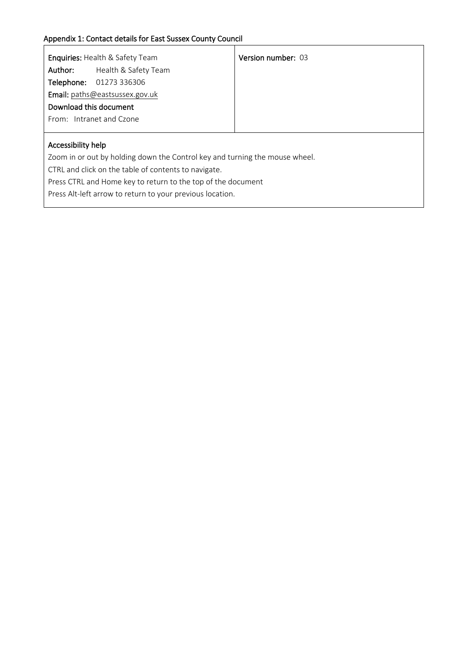| <b>Enquiries: Health &amp; Safety Team</b>                                  |                                | <b>Version number: 03</b> |  |  |  |
|-----------------------------------------------------------------------------|--------------------------------|---------------------------|--|--|--|
| Author:                                                                     | Health & Safety Team           |                           |  |  |  |
|                                                                             | Telephone: 01273 336306        |                           |  |  |  |
|                                                                             | Email: paths@eastsussex.gov.uk |                           |  |  |  |
| Download this document                                                      |                                |                           |  |  |  |
| From: Intranet and Czone                                                    |                                |                           |  |  |  |
|                                                                             |                                |                           |  |  |  |
| Accessibility help                                                          |                                |                           |  |  |  |
| Zoom in or out by holding down the Control key and turning the mouse wheel. |                                |                           |  |  |  |
| CTRL and click on the table of contents to navigate.                        |                                |                           |  |  |  |
| Press CTRL and Home key to return to the top of the document                |                                |                           |  |  |  |
| Press Alt-left arrow to return to your previous location.                   |                                |                           |  |  |  |